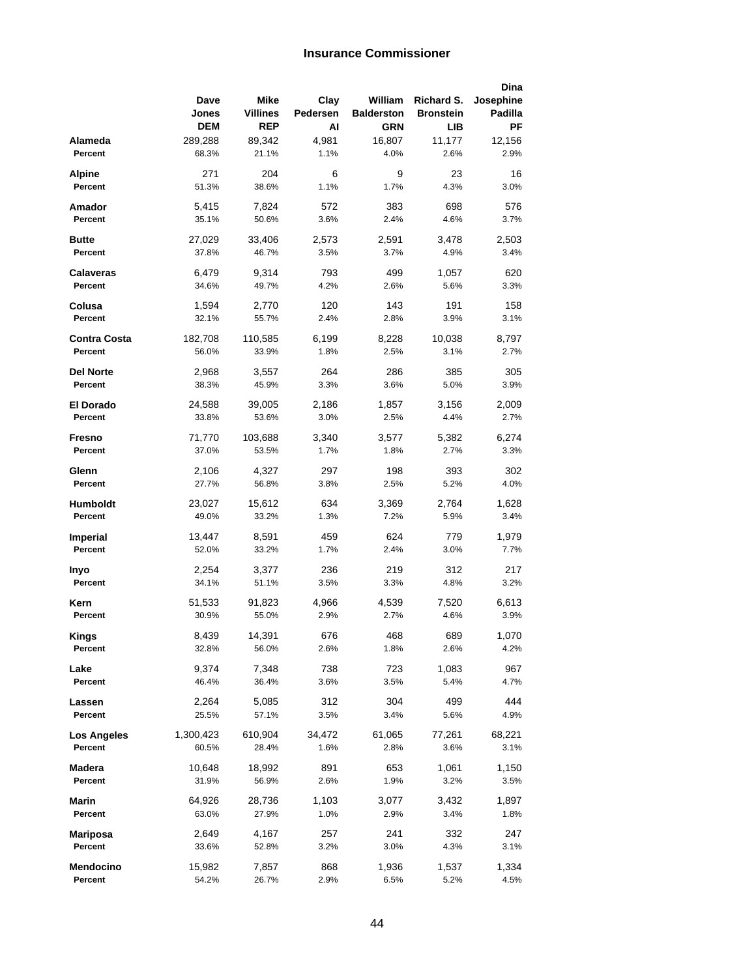## **Insurance Commissioner**

|                 |                |                 |             |                   |                  | Dina        |
|-----------------|----------------|-----------------|-------------|-------------------|------------------|-------------|
|                 | Dave           | Mike            | Clay        | William           | Richard S.       | Josephine   |
|                 | Jones          | <b>Villines</b> | Pedersen    | <b>Balderston</b> | <b>Bronstein</b> | Padilla     |
|                 | <b>DEM</b>     | <b>REP</b>      | AI          | <b>GRN</b>        | LIB              | ΡF          |
| Alameda         | 289,288        | 89,342          | 4,981       | 16,807            | 11,177           | 12,156      |
| Percent         | 68.3%          | 21.1%           | 1.1%        | 4.0%              | 2.6%             | 2.9%        |
| Alpine          | 271            | 204             | 6           | 9                 | 23               | 16          |
| Percent         | 51.3%          | 38.6%           | 1.1%        | 1.7%              | 4.3%             | 3.0%        |
| Amador          | 5,415          | 7,824           | 572         | 383               | 698              | 576         |
| Percent         | 35.1%          | 50.6%           | 3.6%        | 2.4%              | 4.6%             | 3.7%        |
|                 |                |                 |             |                   |                  |             |
| Butte           | 27,029         | 33,406          | 2,573       | 2,591             | 3,478            | 2,503       |
| Percent         | 37.8%          | 46.7%           | 3.5%        | 3.7%              | 4.9%             | 3.4%        |
| Calaveras       | 6,479          | 9,314           | 793         | 499               | 1,057            | 620         |
| Percent         | 34.6%          | 49.7%           | 4.2%        | 2.6%              | 5.6%             | 3.3%        |
| Colusa          | 1,594          | 2,770           | 120         | 143               | 191              | 158         |
| Percent         | 32.1%          | 55.7%           | 2.4%        | 2.8%              | 3.9%             | 3.1%        |
|                 |                |                 |             |                   |                  |             |
| Contra Costa    | 182,708        | 110,585         | 6,199       | 8,228             | 10,038           | 8,797       |
| Percent         | 56.0%          | 33.9%           | 1.8%        | 2.5%              | 3.1%             | 2.7%        |
| Del Norte       | 2,968          | 3,557           | 264         | 286               | 385              | 305         |
| Percent         | 38.3%          | 45.9%           | 3.3%        | 3.6%              | 5.0%             | 3.9%        |
|                 |                |                 |             |                   |                  |             |
| El Dorado       | 24,588         | 39,005          | 2,186       | 1,857             | 3,156            | 2,009       |
| Percent         | 33.8%          | 53.6%           | 3.0%        | 2.5%              | 4.4%             | 2.7%        |
| Fresno          | 71,770         | 103,688         | 3,340       | 3,577             | 5,382            | 6,274       |
| Percent         | 37.0%          | 53.5%           | 1.7%        | 1.8%              | 2.7%             | 3.3%        |
| Glenn           | 2,106          | 4,327           | 297         | 198               | 393              | 302         |
| Percent         | 27.7%          | 56.8%           | 3.8%        | 2.5%              | 5.2%             | 4.0%        |
|                 |                |                 |             |                   |                  |             |
| Humboldt        | 23,027         | 15,612          | 634         | 3,369             | 2,764            | 1,628       |
| Percent         | 49.0%          | 33.2%           | 1.3%        | 7.2%              | 5.9%             | 3.4%        |
| Imperial        | 13,447         | 8,591           | 459         | 624               | 779              | 1,979       |
| Percent         | 52.0%          | 33.2%           | 1.7%        | 2.4%              | 3.0%             | 7.7%        |
|                 | 2,254          | 3,377           | 236         | 219               | 312              | 217         |
| Invo<br>Percent | 34.1%          | 51.1%           | 3.5%        | 3.3%              | 4.8%             | 3.2%        |
|                 |                |                 |             |                   |                  |             |
| Kern            | 51,533         | 91,823          | 4,966       | 4,539             | 7,520            | 6,613       |
| Percent         | 30.9%          | 55.0%           | 2.9%        | 2.7%              | 4.6%             | 3.9%        |
| <b>Kings</b>    | 8,439          | 14,391          | 676         | 468               | 689              | 1,070       |
| Percent         | 32.8%          | 56.0%           | 2.6%        | 1.8%              | 2.6%             | 4.2%        |
|                 |                |                 |             |                   |                  |             |
| Lake<br>Percent | 9,374<br>46.4% | 7,348<br>36.4%  | 738<br>3.6% | 723<br>3.5%       | 1,083<br>5.4%    | 967<br>4.7% |
|                 |                |                 |             |                   |                  |             |
| Lassen          | 2,264          | 5,085           | 312         | 304               | 499              | 444         |
| Percent         | 25.5%          | 57.1%           | 3.5%        | 3.4%              | 5.6%             | 4.9%        |
| Los Angeles     | 1,300,423      | 610,904         | 34,472      | 61,065            | 77,261           | 68,221      |
| Percent         | 60.5%          | 28.4%           | 1.6%        | 2.8%              | 3.6%             | 3.1%        |
|                 |                |                 |             |                   |                  |             |
| Madera          | 10,648         | 18,992          | 891         | 653               | 1,061            | 1,150       |
| Percent         | 31.9%          | 56.9%           | 2.6%        | 1.9%              | 3.2%             | 3.5%        |
| Marin           | 64,926         | 28,736          | 1,103       | 3,077             | 3,432            | 1,897       |
| Percent         | 63.0%          | 27.9%           | 1.0%        | 2.9%              | 3.4%             | 1.8%        |
| Mariposa        | 2,649          | 4,167           | 257         | 241               | 332              | 247         |
| Percent         | 33.6%          | 52.8%           | 3.2%        | 3.0%              | 4.3%             | 3.1%        |
|                 |                |                 |             |                   |                  |             |
| Mendocino       | 15,982         | 7,857           | 868         | 1,936             | 1,537            | 1,334       |
| Percent         | 54.2%          | 26.7%           | 2.9%        | 6.5%              | 5.2%             | 4.5%        |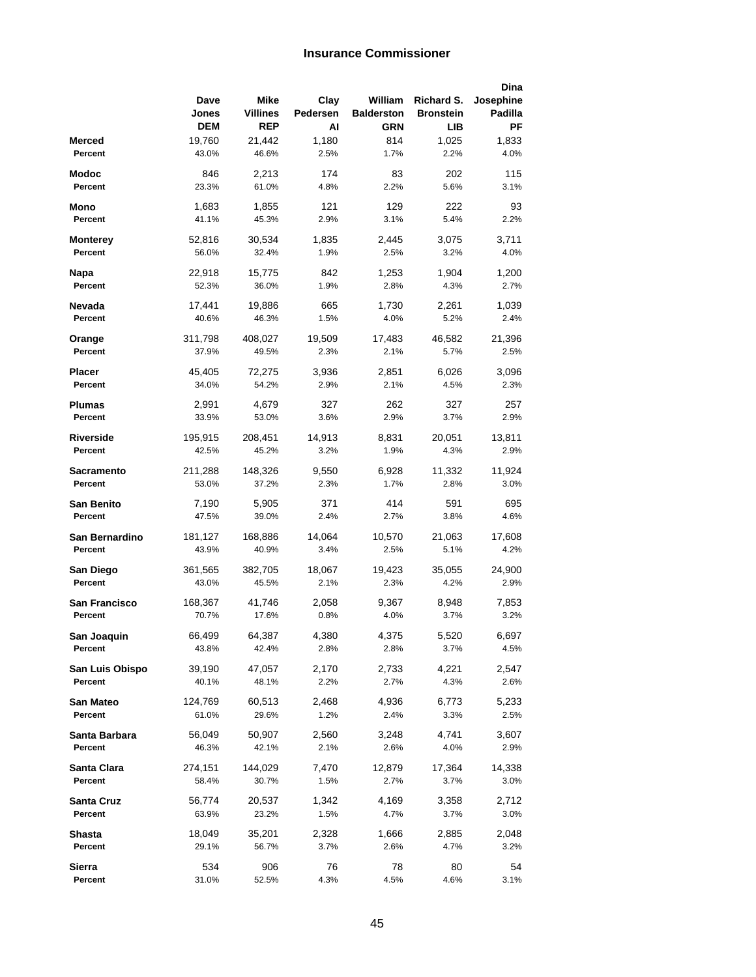## **Insurance Commissioner**

|                          |                  |                 |               |                   |                  | Dina          |
|--------------------------|------------------|-----------------|---------------|-------------------|------------------|---------------|
|                          | Dave             | Mike            | Clay          | William           | Richard S.       | Josephine     |
|                          | Jones            | Villines        | Pedersen      | <b>Balderston</b> | <b>Bronstein</b> | Padilla       |
|                          | <b>DEM</b>       | <b>REP</b>      | Al            | <b>GRN</b>        | LІВ              | РF            |
| Merced                   | 19,760           | 21,442          | 1,180         | 814               | 1,025            | 1,833         |
| Percent                  | 43.0%            | 46.6%           | 2.5%          | 1.7%              | 2.2%             | 4.0%          |
| Modoc                    | 846              | 2,213           | 174           | 83                | 202              | 115           |
| Percent                  | 23.3%            | 61.0%           | 4.8%          | 2.2%              | 5.6%             | 3.1%          |
| Mono                     | 1,683            | 1,855           | 121           | 129               | 222              | 93            |
| Percent                  | 41.1%            | 45.3%           | 2.9%          | 3.1%              | 5.4%             | 2.2%          |
|                          |                  |                 |               |                   |                  |               |
| Monterey<br>Percent      | 52,816<br>56.0%  | 30,534<br>32.4% | 1,835<br>1.9% | 2,445<br>2.5%     | 3,075<br>3.2%    | 3,711<br>4.0% |
|                          |                  |                 |               |                   |                  |               |
| Napa                     | 22,918           | 15,775          | 842           | 1,253             | 1,904            | 1,200         |
| Percent                  | 52.3%            | 36.0%           | 1.9%          | 2.8%              | 4.3%             | 2.7%          |
| Nevada                   | 17,441           | 19,886          | 665           | 1,730             | 2,261            | 1,039         |
| Percent                  | 40.6%            | 46.3%           | 1.5%          | 4.0%              | 5.2%             | 2.4%          |
| Orange                   | 311,798          | 408,027         | 19,509        | 17,483            | 46,582           | 21,396        |
| Percent                  | 37.9%            | 49.5%           | 2.3%          | 2.1%              | 5.7%             | 2.5%          |
|                          |                  |                 |               |                   |                  |               |
| Placer                   | 45,405           | 72,275          | 3,936         | 2,851             | 6,026            | 3,096         |
| Percent                  | 34.0%            | 54.2%           | 2.9%          | 2.1%              | 4.5%             | 2.3%          |
| Plumas                   | 2,991            | 4,679           | 327           | 262               | 327              | 257           |
| Percent                  | 33.9%            | 53.0%           | 3.6%          | 2.9%              | 3.7%             | 2.9%          |
| <b>Riverside</b>         | 195,915          | 208,451         | 14,913        | 8,831             | 20,051           | 13,811        |
| Percent                  | 42.5%            | 45.2%           | 3.2%          | 1.9%              | 4.3%             | 2.9%          |
| Sacramento               | 211,288          | 148,326         | 9,550         | 6,928             | 11,332           | 11,924        |
| Percent                  | 53.0%            | 37.2%           | 2.3%          | 1.7%              | 2.8%             | 3.0%          |
|                          |                  |                 |               |                   |                  |               |
| San Benito               | 7,190            | 5,905           | 371           | 414               | 591              | 695           |
| Percent                  | 47.5%            | 39.0%           | 2.4%          | 2.7%              | 3.8%             | 4.6%          |
| San Bernardino           | 181,127          | 168,886         | 14,064        | 10,570            | 21,063           | 17,608        |
| Percent                  | 43.9%            | 40.9%           | 3.4%          | 2.5%              | 5.1%             | 4.2%          |
| San Diego                | 361,565          | 382,705         | 18,067        | 19,423            | 35,055           | 24,900        |
| Percent                  | 43.0%            | 45.5%           | 2.1%          | 2.3%              | 4.2%             | 2.9%          |
|                          |                  |                 |               |                   |                  |               |
| San Francisco<br>Percent | 168,367<br>70.7% | 41,746<br>17.6% | 2,058<br>0.8% | 9,367<br>4.0%     | 8,948<br>3.7%    | 7,853<br>3.2% |
|                          |                  |                 |               |                   |                  |               |
| San Joaquin              | 66,499           | 64,387          | 4,380         | 4,375             | 5,520            | 6,697         |
| Percent                  | 43.8%            | 42.4%           | 2.8%          | 2.8%              | 3.7%             | 4.5%          |
| San Luis Obispo          | 39,190           | 47,057          | 2,170         | 2,733             | 4,221            | 2,547         |
| Percent                  | 40.1%            | 48.1%           | 2.2%          | 2.7%              | 4.3%             | 2.6%          |
| San Mateo                | 124,769          | 60,513          | 2,468         | 4,936             | 6,773            | 5,233         |
| Percent                  | 61.0%            | 29.6%           | 1.2%          | 2.4%              | 3.3%             | 2.5%          |
|                          |                  |                 |               |                   |                  |               |
| Santa Barbara            | 56,049           | 50,907          | 2,560         | 3,248             | 4,741            | 3,607         |
| Percent                  | 46.3%            | 42.1%           | 2.1%          | 2.6%              | 4.0%             | 2.9%          |
| Santa Clara              | 274,151          | 144,029         | 7,470         | 12,879            | 17,364           | 14,338        |
| Percent                  | 58.4%            | 30.7%           | 1.5%          | 2.7%              | 3.7%             | 3.0%          |
| Santa Cruz               | 56,774           | 20,537          | 1,342         | 4,169             | 3,358            | 2,712         |
| Percent                  | 63.9%            | 23.2%           | 1.5%          | 4.7%              | 3.7%             | 3.0%          |
| Shasta                   | 18,049           | 35,201          | 2,328         | 1,666             | 2,885            | 2,048         |
| Percent                  | 29.1%            | 56.7%           | 3.7%          | 2.6%              | 4.7%             | 3.2%          |
|                          |                  |                 |               |                   |                  |               |
| Sierra                   | 534              | 906             | 76            | 78                | 80               | 54            |
| Percent                  | 31.0%            | 52.5%           | 4.3%          | 4.5%              | 4.6%             | 3.1%          |